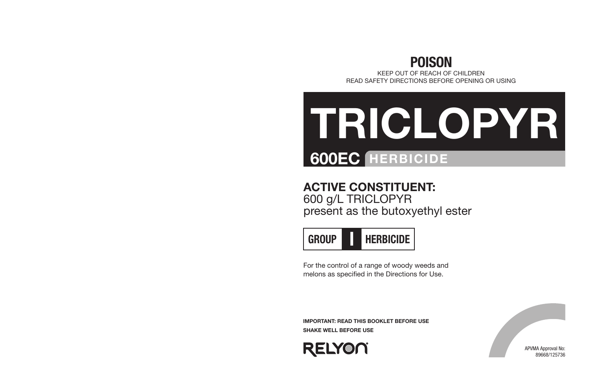

KEEP OUT OF REACH OF CHILDREN READ SAFETY DIRECTIONS BEFORE OPENING OR USING

## 600EC HERBICIDE TRICLOPYR

#### ACTIVE CONSTITUENT:

600 g/L TRICLOPYR present as the butoxyethyl ester



For the control of a range of woody weeds and melons as specified in the Directions for Use.

IMPORTANT: READ THIS BOOKLET BEFORE USE SHAKE WELL BEFORE USE



APVMA Approval No: 89668/125736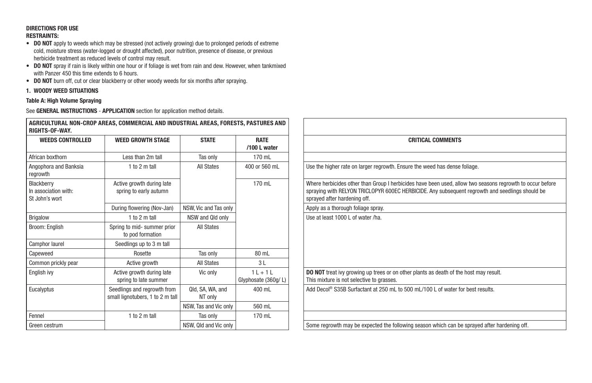#### DIRECTIONS FOR USE RESTRAINTS:

- DO NOT apply to weeds which may be stressed (not actively growing) due to prolonged periods of extreme cold, moisture stress (water-logged or drought affected), poor nutrition, presence of disease, or previous herbicide treatment as reduced levels of control may result.
- DO NOT spray if rain is likely within one hour or if foliage is wet from rain and dew. However, when tankmixed with Panzer 450 this time extends to 6 hours.

AGRICULTURAL NON-CROP AREAS, COMMERCIAL AND INDUSTRIAL AREAS, FORESTS, PASTURES AND

• DO NOT burn off, cut or clear blackberry or other woody weeds for six months after spraying.

#### 1. WOODY WEED SITUATIONS

#### Table A: High Volume Spraying

| RIGHTS-OF-WAY.                                       |                                                                 |                             |                                  |                                                                                                                                                                                                                          |
|------------------------------------------------------|-----------------------------------------------------------------|-----------------------------|----------------------------------|--------------------------------------------------------------------------------------------------------------------------------------------------------------------------------------------------------------------------|
| <b>WEEDS CONTROLLED</b>                              | <b>WEED GROWTH STAGE</b>                                        | <b>STATE</b>                | <b>RATE</b><br>/100 L water      | <b>CRITICAL COMMENTS</b>                                                                                                                                                                                                 |
| African boxthorn                                     | Less than 2m tall                                               | Tas only                    | 170 mL                           |                                                                                                                                                                                                                          |
| Angophora and Banksia<br>regrowth                    | 1 to 2 m tall                                                   | <b>All States</b>           | 400 or 560 mL                    | Use the higher rate on larger regrowth. Ensure the weed has dense foliage.                                                                                                                                               |
| Blackberry<br>In association with:<br>St John's wort | Active growth during late<br>spring to early autumn             |                             | 170 mL                           | Where herbicides other than Group I herbicides have been used, allow two seasons regrowth to<br>spraying with RELYON TRICLOPYR 600EC HERBICIDE. Any subsequent regrowth and seedlings sh<br>sprayed after hardening off. |
|                                                      | During flowering (Nov-Jan)                                      | NSW, Vic and Tas only       |                                  | Apply as a thorough foliage spray.                                                                                                                                                                                       |
| Brigalow                                             | 1 to 2 m tall                                                   | NSW and Qld only            |                                  | Use at least 1000 L of water /ha.                                                                                                                                                                                        |
| Broom: English                                       | Spring to mid- summer prior<br>to pod formation                 | <b>All States</b>           |                                  |                                                                                                                                                                                                                          |
| Camphor laurel                                       | Seedlings up to 3 m tall                                        |                             |                                  |                                                                                                                                                                                                                          |
| Capeweed                                             | Rosette                                                         | Tas only                    | 80 mL                            |                                                                                                                                                                                                                          |
| Common prickly pear                                  | Active growth                                                   | <b>All States</b>           | 3L                               |                                                                                                                                                                                                                          |
| English ivy                                          | Active growth during late<br>spring to late summer              | Vic only                    | $1L + 1L$<br>Glyphosate (360g/L) | <b>DO NOT</b> treat ivy growing up trees or on other plants as death of the host may result.<br>This mixture is not selective to grasses.                                                                                |
| Eucalyptus                                           | Seedlings and regrowth from<br>small lignotubers, 1 to 2 m tall | Qld, SA, WA, and<br>NT only | 400 mL                           | Add Decol <sup>®</sup> S35B Surfactant at 250 mL to 500 mL/100 L of water for best results.                                                                                                                              |
|                                                      |                                                                 | NSW, Tas and Vic only       | 560 mL                           |                                                                                                                                                                                                                          |
| Fennel                                               | 1 to 2 m tall                                                   | Tas only                    | 170 mL                           |                                                                                                                                                                                                                          |
| Green cestrum                                        |                                                                 | NSW, Qld and Vic only       |                                  | Some regrowth may be expected the following season which can be sprayed after hardening off.                                                                                                                             |

|                                               | IMERCIAL AND INDUSTRIAL AREAS, FORESTS, PASTURES AND |                                  |                                                                                                                                                                                                                                              |
|-----------------------------------------------|------------------------------------------------------|----------------------------------|----------------------------------------------------------------------------------------------------------------------------------------------------------------------------------------------------------------------------------------------|
| <b>GROWTH STAGE</b>                           | <b>STATE</b>                                         | <b>RATE</b><br>/100 L water      | <b>CRITICAL COMMENTS</b>                                                                                                                                                                                                                     |
| ss than 2m tall                               | Tas only                                             | 170 mL                           |                                                                                                                                                                                                                                              |
| 1 to 2 m tall                                 | <b>All States</b>                                    | 400 or 560 mL                    | Use the higher rate on larger regrowth. Ensure the weed has dense foliage.                                                                                                                                                                   |
| growth during late<br>g to early autumn       |                                                      | 170 mL                           | Where herbicides other than Group I herbicides have been used, allow two seasons regrowth to occur before<br>spraying with RELYON TRICLOPYR 600EC HERBICIDE. Any subsequent regrowth and seedlings should be<br>sprayed after hardening off. |
| flowering (Nov-Jan)                           | NSW, Vic and Tas only                                |                                  | Apply as a thorough foliage spray.                                                                                                                                                                                                           |
| 1 to 2 $m$ tall                               | NSW and Qld only                                     |                                  | Use at least 1000 L of water /ha.                                                                                                                                                                                                            |
| o mid- summer prior<br>pod formation          | <b>All States</b>                                    |                                  |                                                                                                                                                                                                                                              |
| ings up to 3 m tall                           |                                                      |                                  |                                                                                                                                                                                                                                              |
| Rosette                                       | Tas only                                             | 80 mL                            |                                                                                                                                                                                                                                              |
| <b>Active growth</b>                          | <b>All States</b>                                    | 3L                               |                                                                                                                                                                                                                                              |
| growth during late<br>g to late summer        | Vic only                                             | $1L + 1L$<br>Glyphosate (360g/L) | DO NOT treat ivy growing up trees or on other plants as death of the host may result.<br>This mixture is not selective to grasses.                                                                                                           |
| s and regrowth from<br>otubers, 1 to 2 m tall | Qld, SA, WA, and<br>NT only                          | 400 mL                           | Add Decol <sup>®</sup> S35B Surfactant at 250 mL to 500 mL/100 L of water for best results.                                                                                                                                                  |
|                                               | NSW, Tas and Vic only                                | 560 mL                           |                                                                                                                                                                                                                                              |
| $1$ to $2$ m tall                             | Tas only                                             | 170 mL                           |                                                                                                                                                                                                                                              |
|                                               | NSW, Qld and Vic only                                |                                  | Some regrowth may be expected the following season which can be sprayed after hardening off.                                                                                                                                                 |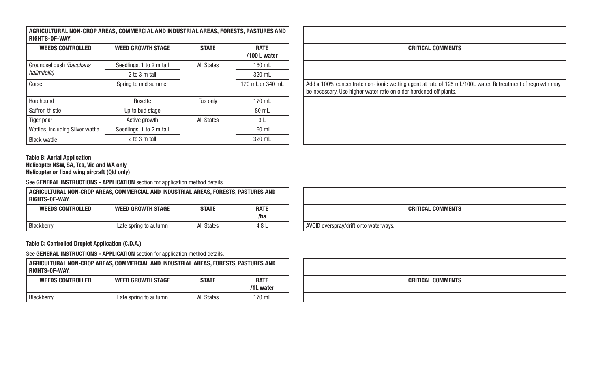| AGRICULTURAL NON-CROP AREAS. COMMERCIAL AND INDUSTRIAL AREAS. FORESTS. PASTURES AND |
|-------------------------------------------------------------------------------------|
| RIGHTS-OF-WAY.                                                                      |

| <b>WEEDS CONTROLLED</b>          | <b>WEED GROWTH STAGE</b> | <b>STATE</b> | <b>RATE</b><br>/100 L water | <b>CRITICAL COMMENTS</b>                                                                                                                                                       |
|----------------------------------|--------------------------|--------------|-----------------------------|--------------------------------------------------------------------------------------------------------------------------------------------------------------------------------|
| Groundsel bush (Baccharis        | Seedlings, 1 to 2 m tall | All States   | 160 mL                      |                                                                                                                                                                                |
| halimifolia)                     | 2 to 3 m tall            |              | 320 mL                      |                                                                                                                                                                                |
| Gorse                            | Spring to mid summer     |              | 170 mL or 340 mL            | Add a 100% concentrate non- ionic wetting agent at rate of 125 mL/100L water. Retreatment of regrowth may<br>be necessary. Use higher water rate on older hardened off plants. |
| Horehound                        | Rosette                  | Tas only     | 170 mL                      |                                                                                                                                                                                |
| Saffron thistle                  | Up to bud stage          |              | 80 mL                       |                                                                                                                                                                                |
| Tiger pear                       | Active growth            | All States   | 3 L                         |                                                                                                                                                                                |
| Wattles, including Silver wattle | Seedlings, 1 to 2 m tall |              | 160 mL                      |                                                                                                                                                                                |
| <b>Black wattle</b>              | 2 to 3 m tall            |              | 320 mL                      |                                                                                                                                                                                |

| <b>CRITICAL COMMENTS</b>                                                                                                                                                       |
|--------------------------------------------------------------------------------------------------------------------------------------------------------------------------------|
|                                                                                                                                                                                |
| Add a 100% concentrate non- ionic wetting agent at rate of 125 mL/100L water. Retreatment of regrowth may<br>be necessary. Use higher water rate on older hardened off plants. |
|                                                                                                                                                                                |
|                                                                                                                                                                                |
|                                                                                                                                                                                |

#### Table B: Aerial Application Helicopter NSW, SA, Tas, Vic and WA only Helicopter or fixed wing aircraft (Qld only)

See GENERAL INSTRUCTIONS - APPLICATION section for application method details

| AGRICULTURAL NON-CROP AREAS. COMMERCIAL AND INDUSTRIAL AREAS. FORESTS. PASTURES AND<br><b>RIGHTS-OF-WAY.</b> |                          |              |                    |                                       |
|--------------------------------------------------------------------------------------------------------------|--------------------------|--------------|--------------------|---------------------------------------|
| <b>WEEDS CONTROLLED</b>                                                                                      | <b>WEED GROWTH STAGE</b> | <b>STATE</b> | <b>RATE</b><br>/ha |                                       |
|                                                                                                              |                          |              |                    |                                       |
| Blackberry                                                                                                   | Late spring to autumn    | All States   | 4.8 L              | AVOID overspray/drift onto waterways. |

Table C: Controlled Droplet Application (C.D.A.)

| AGRICULTURAL NON-CROP AREAS, COMMERCIAL AND INDUSTRIAL AREAS, FORESTS, PASTURES AND<br>RIGHTS-OF-WAY. |                          |              |                          |
|-------------------------------------------------------------------------------------------------------|--------------------------|--------------|--------------------------|
| <b>WEEDS CONTROLLED</b>                                                                               | <b>WEED GROWTH STAGE</b> | <b>STATE</b> | <b>RATE</b><br>/1L water |
| Blackberry                                                                                            | Late spring to autumn    | All States   | 170 mL                   |

|                                       | <b>CRITICAL COMMENTS</b> |
|---------------------------------------|--------------------------|
| AVOID overspray/drift onto waterways. |                          |

| <b>CRITICAL COMMENTS</b> |  |
|--------------------------|--|
|                          |  |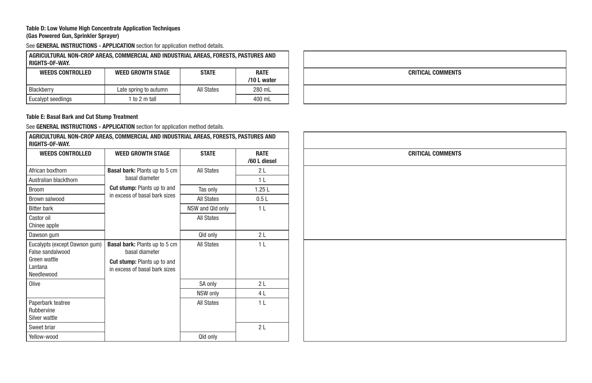#### Table D: Low Volume High Concentrate Application Techniques (Gas Powered Gun, Sprinkler Sprayer)

See GENERAL INSTRUCTIONS - APPLICATION section for application method details.

| AGRICULTURAL NON-CROP AREAS, COMMERCIAL AND INDUSTRIAL AREAS, FORESTS, PASTURES AND<br><b>RIGHTS-OF-WAY</b> |                          |              |                            |  |
|-------------------------------------------------------------------------------------------------------------|--------------------------|--------------|----------------------------|--|
| <b>WEEDS CONTROLLED</b>                                                                                     | <b>WEED GROWTH STAGE</b> | <b>STATE</b> | <b>RATE</b><br>/10 L water |  |
| Blackberry                                                                                                  | Late spring to autumn    | All States   | 280 mL                     |  |
| Eucalypt seedlings                                                                                          | 1 to 2 m tall            |              | 400 mL                     |  |

# CRITICAL COMMENTS

#### Table E: Basal Bark and Cut Stump Treatment

| RIGHTS-OF-WAY.                                                                              | AGRICULTURAL NON-CROP AREAS, COMMERCIAL AND INDUSTRIAL AREAS, FORESTS, PASTURES AND                                           |                   |                             |
|---------------------------------------------------------------------------------------------|-------------------------------------------------------------------------------------------------------------------------------|-------------------|-----------------------------|
| <b>WEEDS CONTROLLED</b>                                                                     | <b>WEED GROWTH STAGE</b>                                                                                                      | <b>STATE</b>      | <b>RATE</b><br>/60 L diesel |
| African boxthorn                                                                            | <b>Basal bark: Plants up to 5 cm</b>                                                                                          | <b>All States</b> | 2L                          |
| Australian blackthorn                                                                       | basal diameter                                                                                                                |                   | 1 <sub>L</sub>              |
| <b>Broom</b>                                                                                | <b>Cut stump:</b> Plants up to and                                                                                            | Tas only          | 1.25L                       |
| Brown salwood                                                                               | in excess of basal bark sizes                                                                                                 | <b>All States</b> | 0.5L                        |
| <b>Bitter bark</b>                                                                          |                                                                                                                               | NSW and Qld only  | 1 <sub>L</sub>              |
| Castor oil<br>Chinee apple                                                                  |                                                                                                                               | <b>All States</b> |                             |
| Dawson gum                                                                                  |                                                                                                                               | Qld only          | 2L                          |
| Eucalypts (except Dawson gum)<br>False sandalwood<br>Green wattle<br>I antana<br>Needlewood | <b>Basal bark: Plants up to 5 cm</b><br>basal diameter<br><b>Cut stump: Plants up to and</b><br>in excess of basal bark sizes | <b>All States</b> | 1 <sub>L</sub>              |
| Olive                                                                                       |                                                                                                                               | SA only           | 2L                          |
|                                                                                             |                                                                                                                               | NSW only          | 4 L                         |
| Paperbark teatree<br>Rubbervine<br>Silver wattle                                            |                                                                                                                               | All States        | 1 <sub>L</sub>              |
| Sweet briar                                                                                 |                                                                                                                               |                   | 2L                          |
| Yellow-wood                                                                                 |                                                                                                                               | Qld only          |                             |

| <b>CRITICAL COMMENTS</b> |  |
|--------------------------|--|
|                          |  |
|                          |  |
|                          |  |
|                          |  |
|                          |  |
|                          |  |
|                          |  |
|                          |  |
|                          |  |
|                          |  |
|                          |  |
|                          |  |
|                          |  |
|                          |  |
|                          |  |
|                          |  |
|                          |  |
|                          |  |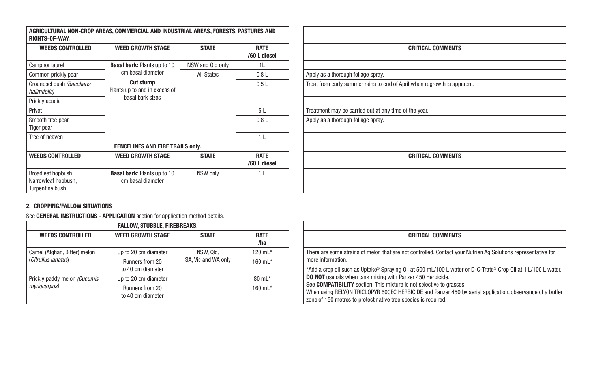| <b>RIGHTS-OF-WAY.</b>                                        | AGRICULTURAL NON-CROP AREAS, COMMERCIAL AND INDUSTRIAL AREAS, FORESTS, PASTURES AND |                   |                             |                                                       |
|--------------------------------------------------------------|-------------------------------------------------------------------------------------|-------------------|-----------------------------|-------------------------------------------------------|
| <b>WEEDS CONTROLLED</b>                                      | <b>WEED GROWTH STAGE</b>                                                            | <b>STATE</b>      | <b>RATE</b><br>/60 L diesel | CRITICA                                               |
| Camphor laurel                                               | <b>Basal bark: Plants up to 10</b>                                                  | NSW and Qld only  | 1L                          |                                                       |
| Common prickly pear                                          | cm basal diameter                                                                   | <b>All States</b> | 0.8 <sub>L</sub>            | Apply as a thorough foliage spray.                    |
| Groundsel bush (Baccharis<br>halimifolia)                    | <b>Cut stump</b><br>Plants up to and in excess of                                   |                   | 0.5L                        | Treat from early summer rains to end of April when re |
| Prickly acacia                                               | basal bark sizes                                                                    |                   |                             |                                                       |
| Privet                                                       |                                                                                     |                   | 5L                          | Treatment may be carried out at any time of the year. |
| Smooth tree pear<br>Tiger pear                               |                                                                                     |                   | 0.8L                        | Apply as a thorough foliage spray.                    |
| Tree of heaven                                               |                                                                                     |                   | 1 <sub>L</sub>              |                                                       |
|                                                              | <b>FENCELINES AND FIRE TRAILS only.</b>                                             |                   |                             |                                                       |
| <b>WEEDS CONTROLLED</b>                                      | <b>WEED GROWTH STAGE</b>                                                            | <b>STATE</b>      | <b>RATE</b><br>/60 L diesel | CRITICA                                               |
| Broadleaf hopbush,<br>Narrowleaf hopbush,<br>Turpentine bush | <b>Basal bark: Plants up to 10</b><br>cm basal diameter                             | NSW only          | 1 <sub>L</sub>              |                                                       |

| <b>ES AND</b>    |                                                                          |  |  |  |
|------------------|--------------------------------------------------------------------------|--|--|--|
| RATE<br>L diesel | <b>CRITICAL COMMENTS</b>                                                 |  |  |  |
| 1L               |                                                                          |  |  |  |
| 0.8L             | Apply as a thorough foliage spray.                                       |  |  |  |
| 0.5L             | Treat from early summer rains to end of April when regrowth is apparent. |  |  |  |
| 5L               | Treatment may be carried out at any time of the year.                    |  |  |  |
| 0.8L             | Apply as a thorough foliage spray.                                       |  |  |  |
| 1 <sub>L</sub>   |                                                                          |  |  |  |
| RATE<br>L diesel | <b>CRITICAL COMMENTS</b>                                                 |  |  |  |
| 1 <sub>L</sub>   |                                                                          |  |  |  |
|                  |                                                                          |  |  |  |

#### 2. CROPPING/FALLOW SITUATIONS

| <b>FALLOW, STUBBLE, FIREBREAKS.</b> |                                      |                                                                          |                    |  |
|-------------------------------------|--------------------------------------|--------------------------------------------------------------------------|--------------------|--|
| <b>WEEDS CONTROLLED</b>             | <b>WEED GROWTH STAGE</b>             | <b>STATE</b>                                                             | <b>RATE</b><br>/ha |  |
| Camel (Afghan, Bitter) melon        | Up to 20 cm diameter                 | NSW, Qld,<br>SA, Vic and WA only<br>Runners from 20<br>to 40 cm diameter | 120 $mL^*$         |  |
| (Citrullus lanatus)                 |                                      |                                                                          | 160 $mL*$          |  |
| Prickly paddy melon (Cucumis        | Up to 20 cm diameter                 |                                                                          | $80 \text{ mL}$ *  |  |
| myriocarpus)                        | Runners from 20<br>to 40 cm diameter |                                                                          | 160 $mL^*$         |  |

| <b>RATE</b><br>/ha | <b>CRITICAL COMMENTS</b>                                                                                      |
|--------------------|---------------------------------------------------------------------------------------------------------------|
| 120 mL*            | There are some strains of melon that are not controlled. Contact your Nutrien Ag Solutions representative for |
| 160 mL*            | more information.                                                                                             |
|                    | *Add a crop oil such as Uptake® Spraying Oil at 500 mL/100 L water or D-C-Trate® Crop Oil at 1 L/100 L water. |
| 80 mL*             | <b>DO NOT</b> use oils when tank mixing with Panzer 450 Herbicide.                                            |
| 160 $mL^*$         | See COMPATIBILITY section. This mixture is not selective to grasses.                                          |
|                    | When using RELYON TRICLOPYR 600EC HERBICIDE and Panzer 450 by aerial application, observance of a buffer      |
|                    | zone of 150 metres to protect native tree species is required.                                                |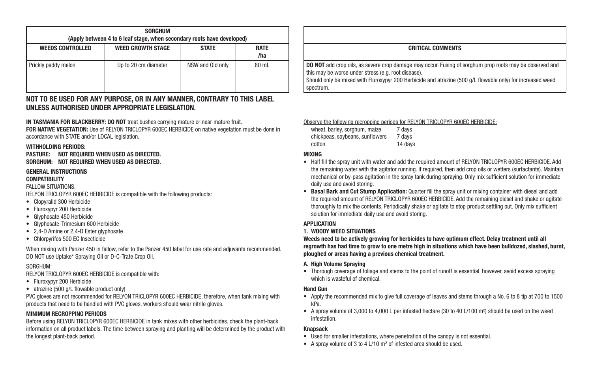| <b>SORGHUM</b><br>(Apply between 4 to 6 leaf stage, when secondary roots have developed) |                          |                  |                    |  |
|------------------------------------------------------------------------------------------|--------------------------|------------------|--------------------|--|
| <b>WEEDS CONTROLLED</b>                                                                  | <b>WEED GROWTH STAGE</b> | <b>STATE</b>     | <b>RATE</b><br>/ha |  |
| Prickly paddy melon                                                                      | Up to 20 cm diameter     | NSW and Qld only | 80 mL              |  |

#### NOT TO BE USED FOR ANY PURPOSE, OR IN ANY MANNER, CONTRARY TO THIS LABEL UNLESS AUTHORISED UNDER APPROPRIATE LEGISLATION.

IN TASMANIA FOR BLACKBERRY: DO NOT treat bushes carrying mature or near mature fruit. FOR NATIVE VEGETATION: Use of RELYON TRICLOPYR 600EC HERBICIDE on native vegetation must be done in accordance with STATE and/or LOCAL legislation.

#### WITHHOLDING PERIODS:

#### PASTURE: NOT REQUIRED WHEN USED AS DIRECTED. SORGHUM: NOT REQUIRED WHEN USED AS DIRECTED.

#### GENERAL INSTRUCTIONS **COMPATIBILITY**

FALLOW SITUATIONS:

RELYON TRICLOPYR 600EC HERBICIDE is compatible with the following products:

- Clopyralid 300 Herbicide
- Fluroxypyr 200 Herbicide
- Glyphosate 450 Herbicide
- Glyphosate-Trimesium 600 Herbicide
- 2.4-D Amine or 2,4-D Ester glyphosate
- Chlorpyrifos 500 EC Insecticide

When mixing with Panzer 450 in fallow, refer to the Panzer 450 label for use rate and adjuvants recommended. DO NOT use Uptake\* Spraying Oil or D-C-Trate Crop Oil.

#### SORGHUM:

RELYON TRICLOPYR 600EC HERBICIDE is compatible with:

- Fluroxypyr 200 Herbicide
- atrazine (500 g/L flowable product only)

PVC gloves are not recommended for RELYON TRICLOPYR 600EC HERBICIDE, therefore, when tank mixing with products that need to be handled with PVC gloves, workers should wear nitrile gloves.

#### MINIMUM RECROPPING PERIODS

Before using RELYON TRICLOPYR 600EC HERBICIDE in tank mixes with other herbicides, check the plant-back information on all product labels. The time between spraying and planting will be determined by the product with the longest plant-back period.

#### CRITICAL COMMENTS

**DO NOT** add crop oils, as severe crop damage may occur. Fusing of sorghum prop roots may be observed and this may be worse under stress (e.g. root disease).

Should only be mixed with Fluroxypyr 200 Herbicide and atrazine (500 g/L flowable only) for increased weed spectrum.

#### Observe the following recropping periods for RELYON TRICLOPYR 600EC HERBICIDE:

| wheat, barley, sorghum, maize   | 7 days  |
|---------------------------------|---------|
| chickpeas, soybeans, sunflowers | 7 days  |
| cotton                          | 14 days |

#### MIXING

- Half fill the spray unit with water and add the required amount of RELYON TRICLOPYR 600EC HERBICIDE. Add the remaining water with the agitator running. If required, then add crop oils or wetters (surfactants). Maintain mechanical or by-pass agitation in the spray tank during spraying. Only mix sufficient solution for immediate daily use and avoid storing.
- Basal Bark and Cut Stump Application: Quarter fill the spray unit or mixing container with diesel and add the required amount of RELYON TRICLOPYR 600EC HERBICIDE. Add the remaining diesel and shake or agitate thoroughly to mix the contents. Periodically shake or agitate to stop product settling out. Only mix sufficient solution for immediate daily use and avoid storing.

#### **APPLICATION**

#### 1. WOODY WEED SITUATIONS

Weeds need to be actively growing for herbicides to have optimum effect. Delay treatment until all regrowth has had time to grow to one metre high in situations which have been bulldozed, slashed, burnt, ploughed or areas having a previous chemical treatment.

#### A. High Volume Spraying

• Thorough coverage of foliage and stems to the point of runoff is essential, however, avoid excess spraying which is wasteful of chemical.

#### Hand Gun

- Apply the recommended mix to give full coverage of leaves and stems through a No. 6 to 8 tip at 700 to 1500 kPa.
- A spray volume of 3,000 to 4,000 L per infested hectare (30 to 40 L/100 m²) should be used on the weed infestation.

#### Knapsack

- Used for smaller infestations, where penetration of the canopy is not essential.
- A spray volume of 3 to 4 L/10 m² of infested area should be used.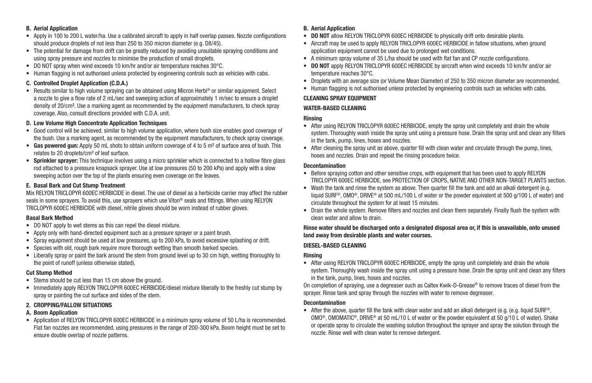#### B. Aerial Application

- Apply in 100 to 200 L water/ha. Use a calibrated aircraft to apply in half overlap passes. Nozzle configurations should produce droplets of not less than 250 to 350 micron diameter (e.g. D8/45).
- The potential for damage from drift can be greatly reduced by avoiding unsuitable spraying conditions and using spray pressure and nozzles to minimise the production of small droplets.
- DO NOT spray when wind exceeds 10 km/hr and/or air temperature reaches 30°C.
- Human flagging is not authorised unless protected by engineering controls such as vehicles with cabs.

#### C. Controlled Droplet Application (C.D.A.)

• Results similar to high volume spraying can be obtained using Micron Herbi® or similar equipment. Select a nozzle to give a flow rate of 2 mL/sec and sweeping action of approximately 1 m/sec to ensure a droplet density of 20/cm². Use a marking agent as recommended by the equipment manufacturers, to check spray coverage. Also, consult directions provided with C.D.A. unit.

#### D. Low Volume High Concentrate Application Techniques

- Good control will be achieved, similar to high volume application, where bush size enables good coverage of the bush. Use a marking agent, as recommended by the equipment manufacturers, to check spray coverage.
- Gas powered gun: Apply 50 mL shots to obtain uniform coverage of 4 to 5 m<sup>2</sup> of surface area of bush. This relates to 20 droplets/cm² of leaf surface.
- Sprinkler sprayer: This technique involves using a micro sprinkler which is connected to a hollow fibre glass rod attached to a pressure knapsack sprayer. Use at low pressures (50 to 200 kPa) and apply with a slow sweeping action over the top of the plants ensuring even coverage on the leaves.

#### E. Basal Bark and Cut Stump Treatment

Mix RELYON TRICLOPYR 600EC HERBICIDE in diesel. The use of diesel as a herbicide carrier may affect the rubber seals in some sprayers. To avoid this, use sprayers which use Viton® seals and fittings. When using RELYON TRICLOPYR 600EC HERBICIDE with diesel, nitrile gloves should be worn instead of rubber gloves.

#### Basal Bark Method

- DO NOT apply to wet stems as this can repel the diesel mixture.
- Apply only with hand-directed equipment such as a pressure sprayer or a paint brush.
- Spray equipment should be used at low pressures, up to 200 kPa, to avoid excessive splashing or drift.
- Species with old, rough bark require more thorough wetting than smooth barked species.
- Liberally spray or paint the bark around the stem from ground level up to 30 cm high, wetting thoroughly to the point of runoff (unless otherwise stated).

#### Cut Stump Method

- Stems should be cut less than 15 cm above the ground.
- Immediately apply RELYON TRICLOPYR 600EC HERBICIDE/diesel mixture liberally to the freshly cut stump by spray or painting the cut surface and sides of the stem.

#### 2. CROPPING/FALLOW SITUATIONS

#### A. Boom Application

• Application of RELYON TRICLOPYR 600EC HERBICIDE in a minimum spray volume of 50 L/ha is recommended. Flat fan nozzles are recommended, using pressures in the range of 200-300 kPa. Boom height must be set to ensure double overlap of nozzle patterns.

#### B. Aerial Application

- **DO NOT** allow RELYON TRICLOPYR 600EC HERBICIDE to physically drift onto desirable plants.
- Aircraft may be used to apply RELYON TRICLOPYR 600EC HERBICIDE in fallow situations, when ground application equipment cannot be used due to prolonged wet conditions.
- A minimum spray volume of 35 L/ha should be used with flat fan and CP nozzle configurations.
- DO NOT apply RELYON TRICLOPYR 600EC HERBICIDE by aircraft when wind exceeds 10 km/hr and/or air temperature reaches 30°C.
- Droplets with an average size (or Volume Mean Diameter) of 250 to 350 micron diameter are recommended.
- Human flagging is not authorised unless protected by engineering controls such as vehicles with cabs.

#### CLEANING SPRAY EQUIPMENT

#### WATER-BASED CLEANING

#### Rinsing

- After using RELYON TRICLOPYR 600EC HERBICIDE, empty the spray unit completely and drain the whole system. Thoroughly wash inside the spray unit using a pressure hose. Drain the spray unit and clean any filters in the tank, pump, lines, hoses and nozzles.
- After cleaning the spray unit as above, quarter fill with clean water and circulate through the pump, lines, hoses and nozzles. Drain and repeat the rinsing procedure twice.

#### Decontamination

- Before spraying cotton and other sensitive crops, with equipment that has been used to apply RELYON TRICLOPYR 600EC HERBICIDE, see PROTECTION OF CROPS, NATIVE AND OTHER NON-TARGET PLANTS section.
- Wash the tank and rinse the system as above. Then quarter fill the tank and add an alkali detergent (e.g. liquid SURF®, OMO®, DRIVE® at 500 mL/100 L of water or the powder equivalent at 500 g/100 L of water) and circulate throughout the system for at least 15 minutes.
- Drain the whole system. Remove filters and nozzles and clean them separately. Finally flush the system with clean water and allow to drain.

#### Rinse water should be discharged onto a designated disposal area or, if this is unavailable, onto unused land away from desirable plants and water courses.

#### DIESEL-BASED CLEANING

#### Rinsing

• After using RELYON TRICLOPYR 600EC HERBICIDE, empty the spray unit completely and drain the whole system. Thoroughly wash inside the spray unit using a pressure hose. Drain the spray unit and clean any filters in the tank, pump, lines, hoses and nozzles.

On completion of spraying, use a degreaser such as Caltex Kwik-D-Grease® to remove traces of diesel from the sprayer. Rinse tank and spray through the nozzles with water to remove degreaser.

#### Decontamination

• After the above, quarter fill the tank with clean water and add an alkali detergent (e.g. (e.g. liquid SURF®, OMO®, OMOMATIC®, DRIVE® at 50 mL/10 L of water or the powder equivalent at 50 g/10 L of water). Shake or operate spray to circulate the washing solution throughout the sprayer and spray the solution through the nozzle. Rinse well with clean water to remove detergent.